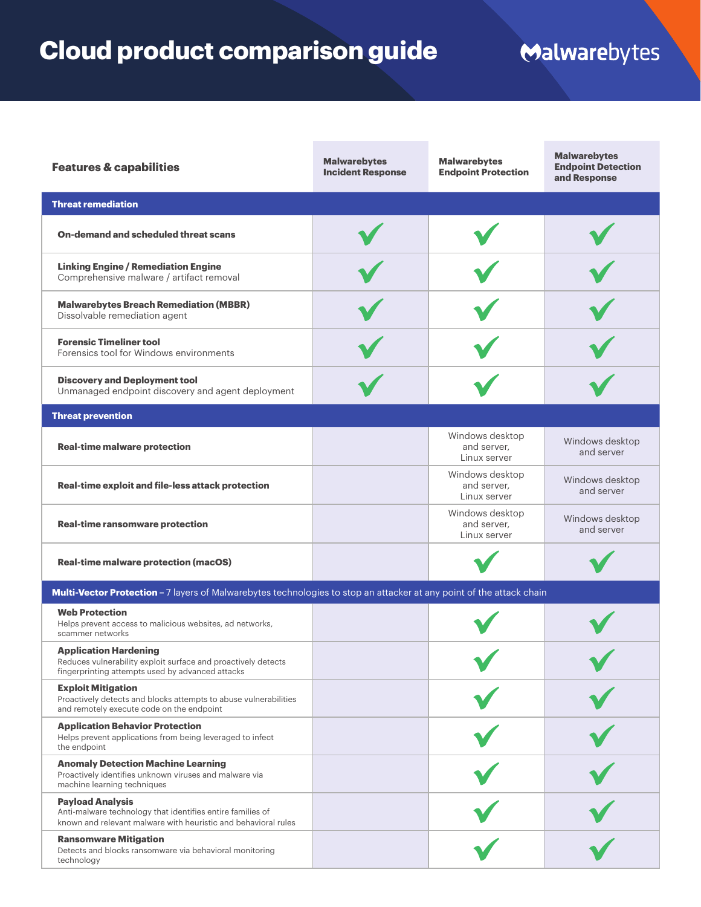## **Cloud product comparison guide**

## Malwarebytes

| <b>Features &amp; capabilities</b>                                                                                                                      | <b>Malwarebytes</b><br><b>Incident Response</b> | <b>Malwarebytes</b><br><b>Endpoint Protection</b> | <b>Malwarebytes</b><br><b>Endpoint Detection</b><br>and Response |  |
|---------------------------------------------------------------------------------------------------------------------------------------------------------|-------------------------------------------------|---------------------------------------------------|------------------------------------------------------------------|--|
| <b>Threat remediation</b>                                                                                                                               |                                                 |                                                   |                                                                  |  |
| On-demand and scheduled threat scans                                                                                                                    |                                                 |                                                   |                                                                  |  |
| <b>Linking Engine / Remediation Engine</b><br>Comprehensive malware / artifact removal                                                                  |                                                 |                                                   |                                                                  |  |
| <b>Malwarebytes Breach Remediation (MBBR)</b><br>Dissolvable remediation agent                                                                          |                                                 |                                                   |                                                                  |  |
| <b>Forensic Timeliner tool</b><br>Forensics tool for Windows environments                                                                               |                                                 |                                                   |                                                                  |  |
| <b>Discovery and Deployment tool</b><br>Unmanaged endpoint discovery and agent deployment                                                               |                                                 |                                                   |                                                                  |  |
| <b>Threat prevention</b>                                                                                                                                |                                                 |                                                   |                                                                  |  |
| <b>Real-time malware protection</b>                                                                                                                     |                                                 | Windows desktop<br>and server,<br>Linux server    | Windows desktop<br>and server                                    |  |
| Real-time exploit and file-less attack protection                                                                                                       |                                                 | Windows desktop<br>and server,<br>Linux server    | Windows desktop<br>and server                                    |  |
| <b>Real-time ransomware protection</b>                                                                                                                  |                                                 | Windows desktop<br>and server,<br>Linux server    | Windows desktop<br>and server                                    |  |
| <b>Real-time malware protection (macOS)</b>                                                                                                             |                                                 |                                                   |                                                                  |  |
| Multi-Vector Protection - 7 layers of Malwarebytes technologies to stop an attacker at any point of the attack chain                                    |                                                 |                                                   |                                                                  |  |
| <b>Web Protection</b><br>Helps prevent access to malicious websites, ad networks,<br>scammer networks                                                   |                                                 |                                                   |                                                                  |  |
| <b>Application Hardening</b><br>Reduces vulnerability exploit surface and proactively detects<br>fingerprinting attempts used by advanced attacks       |                                                 |                                                   |                                                                  |  |
| <b>Exploit Mitigation</b><br>Proactively detects and blocks attempts to abuse vulnerabilities<br>and remotely execute code on the endpoint              |                                                 |                                                   |                                                                  |  |
| <b>Application Behavior Protection</b><br>Helps prevent applications from being leveraged to infect<br>the endpoint                                     |                                                 |                                                   |                                                                  |  |
| <b>Anomaly Detection Machine Learning</b><br>Proactively identifies unknown viruses and malware via<br>machine learning techniques                      |                                                 |                                                   |                                                                  |  |
| <b>Payload Analysis</b><br>Anti-malware technology that identifies entire families of<br>known and relevant malware with heuristic and behavioral rules |                                                 |                                                   |                                                                  |  |
| <b>Ransomware Mitigation</b><br>Detects and blocks ransomware via behavioral monitoring<br>technology                                                   |                                                 |                                                   |                                                                  |  |